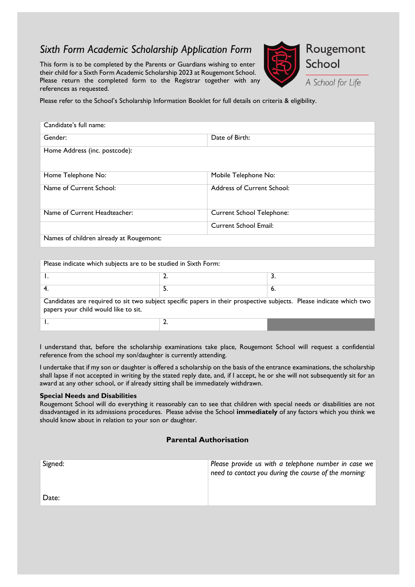# *Sixth Form Academic Scholarship Application Form*

This form is to be completed by the Parents or Guardians wishing to enter their child for a Sixth Form Academic Scholarship 2023 at Rougemont School. Please return the completed form to the Registrar together with any references as requested.



A School for Life

Please refer to the School's Scholarship Information Booklet for full details on criteria & eligibility.

| Candidate's full name:                  |                                   |
|-----------------------------------------|-----------------------------------|
| Gender:                                 | Date of Birth:                    |
| Home Address (inc. postcode):           |                                   |
| Home Telephone No:                      | Mobile Telephone No:              |
| Name of Current School:                 | <b>Address of Current School:</b> |
| Name of Current Headteacher:            | Current School Telephone:         |
|                                         | Current School Email:             |
| Names of children already at Rougemont: |                                   |

| Please indicate which subjects are to be studied in Sixth Form:                                                     |  |    |  |
|---------------------------------------------------------------------------------------------------------------------|--|----|--|
|                                                                                                                     |  |    |  |
|                                                                                                                     |  |    |  |
|                                                                                                                     |  |    |  |
|                                                                                                                     |  | 6. |  |
|                                                                                                                     |  |    |  |
| Candidates are required to sit two subject specific papers in their prospective subjects. Please indicate which two |  |    |  |
| papers your child would like to sit.                                                                                |  |    |  |
|                                                                                                                     |  |    |  |
|                                                                                                                     |  |    |  |
|                                                                                                                     |  |    |  |

I understand that, before the scholarship examinations take place, Rougemont School will request a confidential reference from the school my son/daughter is currently attending.

I undertake that if my son or daughter is offered a scholarship on the basis of the entrance examinations, the scholarship shall lapse if not accepted in writing by the stated reply date, and, if I accept, he or she will not subsequently sit for an award at any other school, or if already sitting shall be immediately withdrawn.

#### **Special Needs and Disabilities**

Rougemont School will do everything it reasonably can to see that children with special needs or disabilities are not disadvantaged in its admissions procedures. Please advise the School **immediately** of any factors which you think we should know about in relation to your son or daughter.

#### **Parental Authorisation**

| Signed: | Please provide us with a telephone number in case we<br>need to contact you during the course of the morning: |
|---------|---------------------------------------------------------------------------------------------------------------|
| Date:   |                                                                                                               |